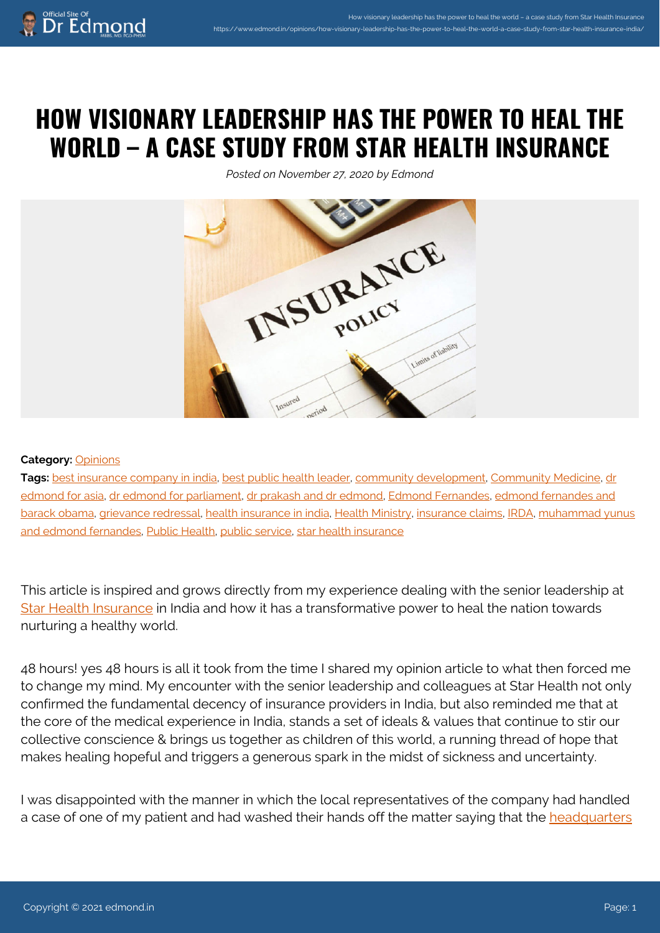## **HOW VISIONARY LEADERSHIP HAS THE POWER TO HEAL THE WORLD – A CASE STUDY FROM STAR HEALTH INSURANCE**

*Posted on November 27, 2020 by Edmond*



## **Category:** [Opinions](https://www.edmond.in/category/opinions/)

Tags: [best insurance company in india,](https://www.edmond.in/tag/best-insurance-company-in-india/) [best public health leader,](https://www.edmond.in/tag/best-public-health-leader/) [community development](https://www.edmond.in/tag/community-development/), [Community Medicine,](https://www.edmond.in/tag/community-medicine/) [dr](https://www.edmond.in/tag/dr-edmond-for-asia/) [edmond for asia,](https://www.edmond.in/tag/dr-edmond-for-asia/) [dr edmond for parliament,](https://www.edmond.in/tag/dr-edmond-for-parliament/) [dr prakash and dr edmond,](https://www.edmond.in/tag/dr-prakash-and-dr-edmond/) [Edmond Fernandes,](https://www.edmond.in/tag/edmond-fernandes/) [edmond fernandes and](https://www.edmond.in/tag/edmond-fernandes-and-barack-obama/) [barack obama,](https://www.edmond.in/tag/edmond-fernandes-and-barack-obama/) [grievance redressal,](https://www.edmond.in/tag/grievance-redressal/) [health insurance in india](https://www.edmond.in/tag/health-insurance-in-india/), [Health Ministry](https://www.edmond.in/tag/health-ministry/), [insurance claims](https://www.edmond.in/tag/insurance-claims/), [IRDA](https://www.edmond.in/tag/irda/), [muhammad yunus](https://www.edmond.in/tag/muhammad-yunus-and-edmond-fernandes/) [and edmond fernandes](https://www.edmond.in/tag/muhammad-yunus-and-edmond-fernandes/), [Public Health](https://www.edmond.in/tag/public-health/), [public service](https://www.edmond.in/tag/public-service/), [star health insurance](https://www.edmond.in/tag/star-health-insurance/)

This article is inspired and grows directly from my experience dealing with the senior leadership at [Star Health Insurance](https://www.starhealth.in/) in India and how it has a transformative power to heal the nation towards nurturing a healthy world.

48 hours! yes 48 hours is all it took from the time I shared my opinion article to what then forced me to change my mind. My encounter with the senior leadership and colleagues at Star Health not only confirmed the fundamental decency of insurance providers in India, but also reminded me that at the core of the medical experience in India, stands a set of ideals & values that continue to stir our collective conscience & brings us together as children of this world, a running thread of hope that makes healing hopeful and triggers a generous spark in the midst of sickness and uncertainty.

I was disappointed with the manner in which the local representatives of the company had handled a case of one of my patient and had washed their hands off the matter saying that the [headquarters](https://www.starhealth.in/contact-us)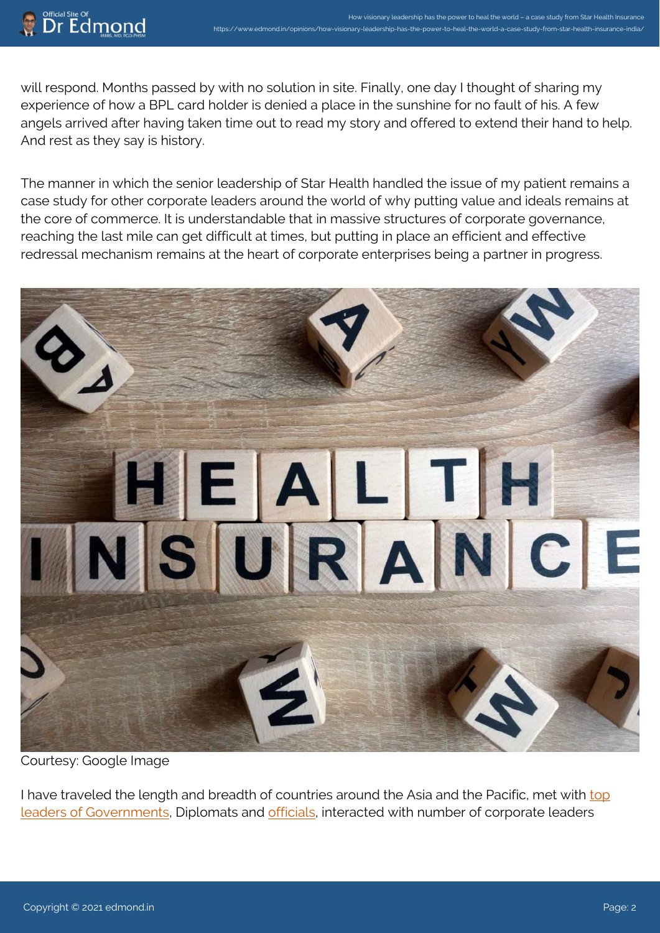will respond. Months passed by with no solution in site. Finally, one day I thought of sharing my experience of how a BPL card holder is denied a place in the sunshine for no fault of his. A few angels arrived after having taken time out to read my story and offered to extend their hand to help. And rest as they say is history.

How visionary leadership has the power to heal the world – a case study from Star Health Insurance

https://www.edmond.in/opinions/how-visionary-leadership-has-the-power-to-heal-the-world-a-case-study-from-star-health-insurance-india/

The manner in which the senior leadership of Star Health handled the issue of my patient remains a case study for other corporate leaders around the world of why putting value and ideals remains at the core of commerce. It is understandable that in massive structures of corporate governance, reaching the last mile can get difficult at times, but putting in place an efficient and effective redressal mechanism remains at the heart of corporate enterprises being a partner in progress.



Courtesy: Google Image

I have traveled the length and breadth of countries around the Asia and the Pacific, met with [top](http://www.edmond.in) [leaders of Governments,](http://www.edmond.in) Diplomats and [officials,](http://www.chdgroup.org) interacted with number of corporate leaders